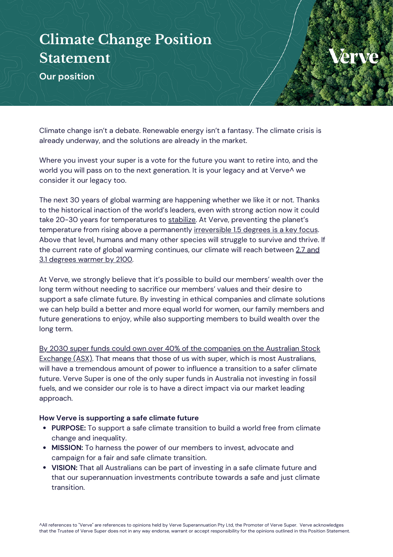## **Climate Change Position Statement**

**Our position**

Climate change isn't a debate. Renewable energy isn't a fantasy. The climate crisis is already underway, and the solutions are already in the market.

Where you invest your super is a vote for the future you want to retire into, and the world you will pass on to the next generation. It is your legacy and at Verve^ we consider it our legacy too.

The next 30 years of global warming are happening whether we like it or not. Thanks to the historical inaction of the world's leaders, even with strong action now it could take 20-30 years for temperatures to [stabilize](https://www.ipcc.ch/2021/08/09/ar6-wg1-20210809-pr/). At Verve, preventing the planet's temperature from rising above a permanently [irreversible](https://www.ipcc.ch/site/assets/uploads/sites/2/2019/06/SR15_Full_Report_Low_Res.pdf) 1.5 degrees is a key focus. Above that level, humans and many other species will struggle to survive and thrive. If the current rate of global warming continues, our climate will reach between 2.7 [and](https://www.science.org.au/files/userfiles/support/reports-and-plans/2021/risks-australia-three-deg-warmer-world-report.pdf) 3.1 [degrees](https://www.science.org.au/files/userfiles/support/reports-and-plans/2021/risks-australia-three-deg-warmer-world-report.pdf) warmer by 2100.

At Verve, we strongly believe that it's possible to build our members' wealth over the long term without needing to sacrifice our members' values and their desire to support a safe climate future. By investing in ethical companies and climate solutions we can help build a better and more equal world for women, our family members and future generations to enjoy, while also supporting members to build wealth over the long term.

By 2030 super funds could own over 40% of the [companies](https://thenewdaily.com.au/finance/superannuation/2021/08/13/superannuation-asx/) on the Australian Stock [Exchange](https://thenewdaily.com.au/finance/superannuation/2021/08/13/superannuation-asx/) (ASX)[.](https://thenewdaily.com.au/finance/superannuation/2021/08/13/superannuation-asx/) That means that those of us with super, which is most Australians, will have a tremendous amount of power to influence a transition to a safer climate future. Verve Super is one of the only super funds in Australia not investing in fossil fuels, and we consider our role is to have a direct impact via our market leading approach.

## **How Verve is supporting a safe climate future**

- **PURPOSE:** To support a safe climate transition to build a world free from climate change and inequality.
- **MISSION:** To harness the power of our members to invest, advocate and campaign for a fair and safe climate transition.
- **VISION:** That all Australians can be part of investing in a safe climate future and that our superannuation investments contribute towards a safe and just climate transition.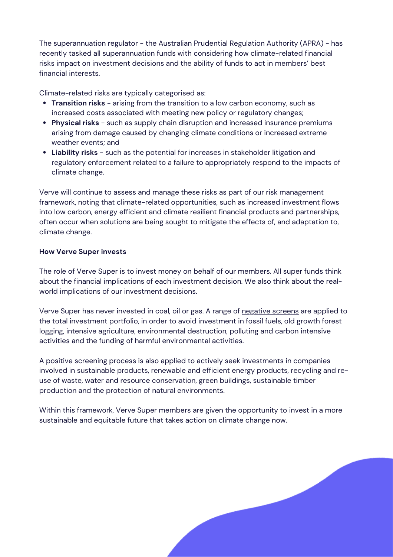The superannuation regulator - the Australian Prudential Regulation Authority (APRA) - has recently tasked all superannuation funds with considering how climate-related financial risks impact on investment decisions and the ability of funds to act in members' best financial interests.

Climate-related risks are typically categorised as:

- **Transition risks** arising from the transition to a low carbon economy, such as increased costs associated with meeting new policy or regulatory changes;
- **Physical risks** such as supply chain disruption and increased insurance premiums arising from damage caused by changing climate conditions or increased extreme weather events; and
- **Liability risks** such as the potential for increases in stakeholder litigation and regulatory enforcement related to a failure to appropriately respond to the impacts of climate change.

Verve will continue to assess and manage these risks as part of our risk management framework, noting that climate-related opportunities, such as increased investment flows into low carbon, energy efficient and climate resilient financial products and partnerships, often occur when solutions are being sought to mitigate the effects of, and adaptation to, climate change.

## **How Verve Super invests**

The role of Verve Super is to invest money on behalf of our members. All super funds think about the financial implications of each investment decision. We also think about the realworld implications of our investment decisions.

Verve Super has never invested in coal, oil or gas. A range of [negative](https://vervesuper.com.au/ethical-investing/) screens are applied to the total investment portfolio, in order to avoid investment in fossil fuels, old growth forest logging, intensive agriculture, environmental destruction, polluting and carbon intensive activities and the funding of harmful environmental activities.

A positive screening process is also applied to actively seek investments in companies involved in sustainable products, renewable and efficient energy products, recycling and reuse of waste, water and resource conservation, green buildings, sustainable timber production and the protection of natural environments.

Within this framework, Verve Super members are given the opportunity to invest in a more sustainable and equitable future that takes action on climate change now.